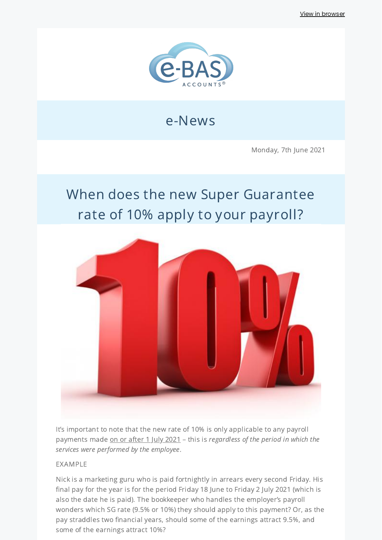

## e-News

Monday, 7th June 2021

# When does the new Super Guarantee rate of 10% apply to your payroll?



It's important to note that the new rate of 10% is only applicable to any payroll payments made on or after 1 July 2021 - this is regardless of the period in which the services were performed by the employee.

#### EXAMPLE

Nick is a marketing guru who is paid fortnightly in arrears every second Friday. His final pay for the year is for the period Friday 18 June to Friday 2 July 2021 (which is also the date he is paid). The bookkeeper who handles the employer's payroll wonders which SG rate (9.5% or 10%) they should apply to this payment? Or, as the pay straddles two financial years, should some of the earnings attract 9.5%, and some of the earnings attract 10%?